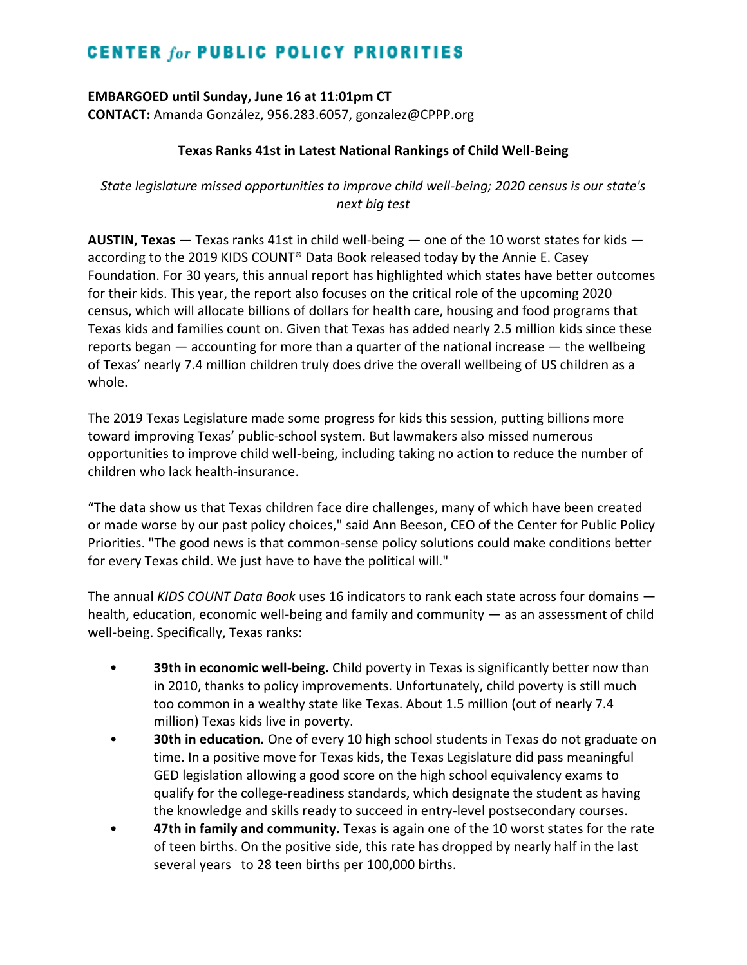# **CENTER for PUBLIC POLICY PRIORITIES**

**EMBARGOED until Sunday, June 16 at 11:01pm CT CONTACT:** Amanda González, 956.283.6057, gonzalez@CPPP.org

### **Texas Ranks 41st in Latest National Rankings of Child Well-Being**

*State legislature missed opportunities to improve child well-being; 2020 census is our state's next big test*

**AUSTIN, Texas** — Texas ranks 41st in child well-being — one of the 10 worst states for kids according to the 2019 KIDS COUNT® Data Book released today by the Annie E. Casey Foundation. For 30 years, this annual report has highlighted which states have better outcomes for their kids. This year, the report also focuses on the critical role of the upcoming 2020 census, which will allocate billions of dollars for health care, housing and food programs that Texas kids and families count on. Given that Texas has added nearly 2.5 million kids since these reports began — accounting for more than a quarter of the national increase — the wellbeing of Texas' nearly 7.4 million children truly does drive the overall wellbeing of US children as a whole.

The 2019 Texas Legislature made some progress for kids this session, putting billions more toward improving Texas' public-school system. But lawmakers also missed numerous opportunities to improve child well-being, including taking no action to reduce the number of children who lack health-insurance.

"The data show us that Texas children face dire challenges, many of which have been created or made worse by our past policy choices," said Ann Beeson, CEO of the Center for Public Policy Priorities. "The good news is that common-sense policy solutions could make conditions better for every Texas child. We just have to have the political will."

The annual *KIDS COUNT Data Book* uses 16 indicators to rank each state across four domains health, education, economic well-being and family and community — as an assessment of child well-being. Specifically, Texas ranks:

- **39th in economic well-being.** Child poverty in Texas is significantly better now than in 2010, thanks to policy improvements. Unfortunately, child poverty is still much too common in a wealthy state like Texas. About 1.5 million (out of nearly 7.4 million) Texas kids live in poverty.
- **30th in education.** One of every 10 high school students in Texas do not graduate on time. In a positive move for Texas kids, the Texas Legislature did pass meaningful GED legislation allowing a good score on the high school equivalency exams to qualify for the college-readiness standards, which designate the student as having the knowledge and skills ready to succeed in entry-level postsecondary courses.
- **47th in family and community.** Texas is again one of the 10 worst states for the rate of teen births. On the positive side, this rate has dropped by nearly half in the last several years to 28 teen births per 100,000 births.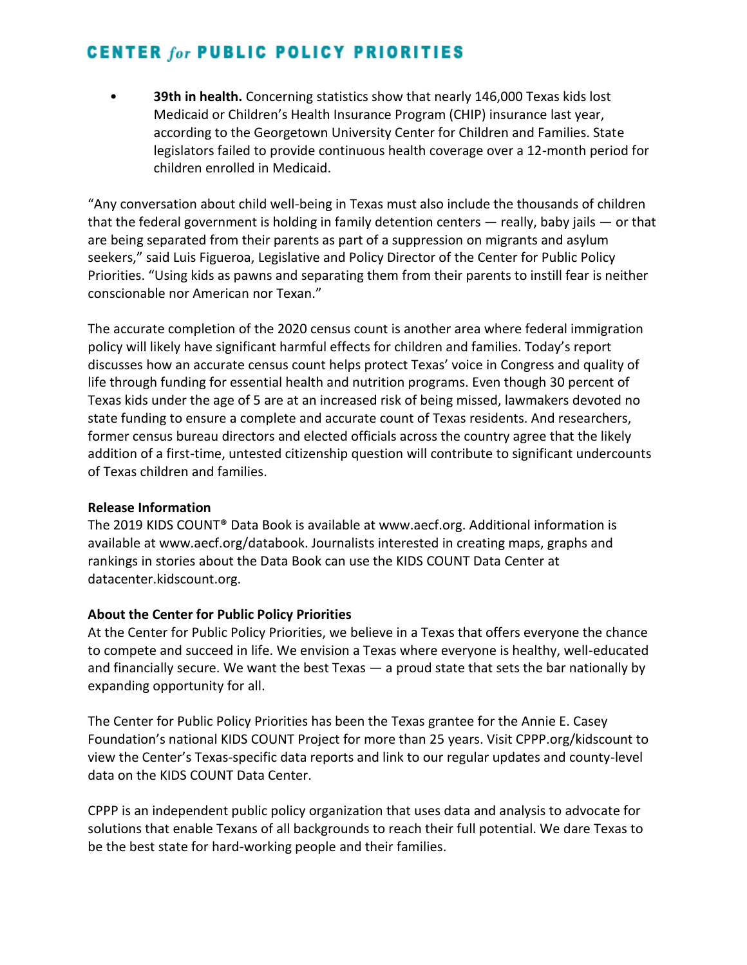# **CENTER for PUBLIC POLICY PRIORITIES**

• **39th in health.** Concerning statistics show that nearly 146,000 Texas kids lost Medicaid or Children's Health Insurance Program (CHIP) insurance last year, according to the Georgetown University Center for Children and Families. State legislators failed to provide continuous health coverage over a 12-month period for children enrolled in Medicaid.

"Any conversation about child well-being in Texas must also include the thousands of children that the federal government is holding in family detention centers  $-$  really, baby jails  $-$  or that are being separated from their parents as part of a suppression on migrants and asylum seekers," said Luis Figueroa, Legislative and Policy Director of the Center for Public Policy Priorities. "Using kids as pawns and separating them from their parents to instill fear is neither conscionable nor American nor Texan."

The accurate completion of the 2020 census count is another area where federal immigration policy will likely have significant harmful effects for children and families. Today's report discusses how an accurate census count helps protect Texas' voice in Congress and quality of life through funding for essential health and nutrition programs. Even though 30 percent of Texas kids under the age of 5 are at an increased risk of being missed, lawmakers devoted no state funding to ensure a complete and accurate count of Texas residents. And researchers, former census bureau directors and elected officials across the country agree that the likely addition of a first-time, untested citizenship question will contribute to significant undercounts of Texas children and families.

#### **Release Information**

The 2019 KIDS COUNT® Data Book is available at www.aecf.org. Additional information is available at www.aecf.org/databook. Journalists interested in creating maps, graphs and rankings in stories about the Data Book can use the KIDS COUNT Data Center at datacenter.kidscount.org.

### **About the Center for Public Policy Priorities**

At the Center for Public Policy Priorities, we believe in a Texas that offers everyone the chance to compete and succeed in life. We envision a Texas where everyone is healthy, well-educated and financially secure. We want the best Texas — a proud state that sets the bar nationally by expanding opportunity for all.

The Center for Public Policy Priorities has been the Texas grantee for the Annie E. Casey Foundation's national KIDS COUNT Project for more than 25 years. Visit CPPP.org/kidscount to view the Center's Texas-specific data reports and link to our regular updates and county-level data on the KIDS COUNT Data Center.

CPPP is an independent public policy organization that uses data and analysis to advocate for solutions that enable Texans of all backgrounds to reach their full potential. We dare Texas to be the best state for hard-working people and their families.